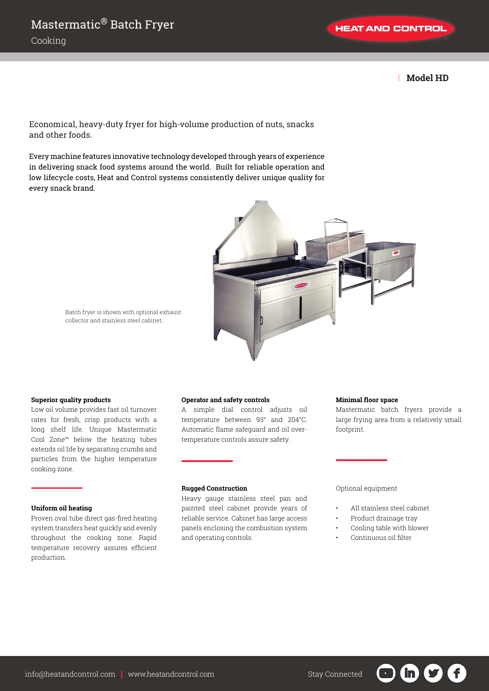**HEAT AND CONTROL** 

| **Model HD**

Economical, heavy-duty fryer for high-volume production of nuts, snacks and other foods.

Every machine features innovative technology developed through years of experience in delivering snack food systems around the world. Built for reliable operation and low lifecycle costs, Heat and Control systems consistently deliver unique quality for every snack brand.



Batch fryer is shown with optional exhaust collector and stainless steel cabinet.

#### **Superior quality products**

Low oil volume provides fast oil turnover rates for fresh, crisp products with a long shelf life. Unique Mastermatic Cool Zone™ below the heating tubes extends oil life by separating crumbs and particles from the higher temperature cooking zone.

## **Uniform oil heating**

Proven oval tube direct gas-fired heating system transfers heat quickly and evenly throughout the cooking zone. Rapid temperature recovery assures efficient production.

#### **Operator and safety controls**

A simple dial control adjusts oil temperature between 93° and 204°C. Automatic flame safeguard and oil overtemperature controls assure safety.

## **Rugged Construction**

Heavy gauge stainless steel pan and painted steel cabinet provide years of reliable service. Cabinet has large access panels enclosing the combustion system and operating controls.

## **Minimal floor space**

Mastermatic batch fryers provide a large frying area from a relatively small footprint.

## Optional equipment

- All stainless steel cabinet
- Product drainage tray
- Cooling table with blower

in in

• Continuous oil filter